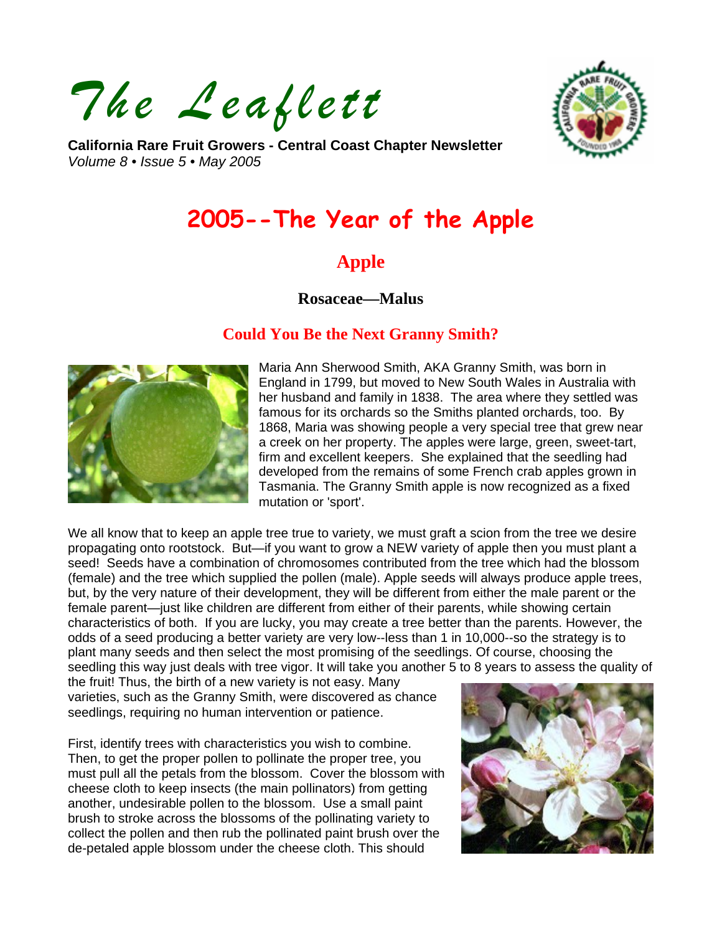*The Leaflett* 



**California Rare Fruit Growers - Central Coast Chapter Newsletter**  *Volume 8 • Issue 5 • May 2005* 

# **2005--The Year of the Apple**

# **Apple**

### **Rosaceae—Malus**

## **Could You Be the Next Granny Smith?**



Maria Ann Sherwood Smith, AKA Granny Smith, was born in England in 1799, but moved to New South Wales in Australia with her husband and family in 1838. The area where they settled was famous for its orchards so the Smiths planted orchards, too. By 1868, Maria was showing people a very special tree that grew near a creek on her property. The apples were large, green, sweet-tart, firm and excellent keepers. She explained that the seedling had developed from the remains of some French crab apples grown in Tasmania. The Granny Smith apple is now recognized as a fixed mutation or 'sport'.

We all know that to keep an apple tree true to variety, we must graft a scion from the tree we desire propagating onto rootstock. But—if you want to grow a NEW variety of apple then you must plant a seed! Seeds have a combination of chromosomes contributed from the tree which had the blossom (female) and the tree which supplied the pollen (male). Apple seeds will always produce apple trees, but, by the very nature of their development, they will be different from either the male parent or the female parent—just like children are different from either of their parents, while showing certain characteristics of both. If you are lucky, you may create a tree better than the parents. However, the odds of a seed producing a better variety are very low--less than 1 in 10,000--so the strategy is to plant many seeds and then select the most promising of the seedlings. Of course, choosing the seedling this way just deals with tree vigor. It will take you another 5 to 8 years to assess the quality of

the fruit! Thus, the birth of a new variety is not easy. Many varieties, such as the Granny Smith, were discovered as chance seedlings, requiring no human intervention or patience.

First, identify trees with characteristics you wish to combine. Then, to get the proper pollen to pollinate the proper tree, you must pull all the petals from the blossom. Cover the blossom with cheese cloth to keep insects (the main pollinators) from getting another, undesirable pollen to the blossom. Use a small paint brush to stroke across the blossoms of the pollinating variety to collect the pollen and then rub the pollinated paint brush over the de-petaled apple blossom under the cheese cloth. This should

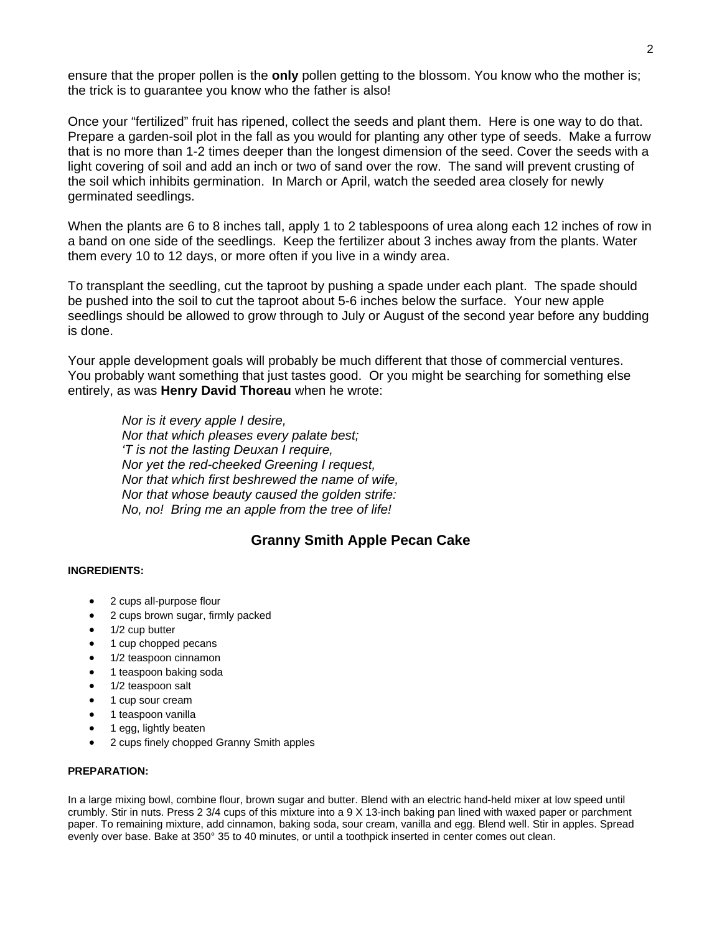ensure that the proper pollen is the **only** pollen getting to the blossom. You know who the mother is; the trick is to guarantee you know who the father is also!

Once your "fertilized" fruit has ripened, collect the seeds and plant them. Here is one way to do that. Prepare a garden-soil plot in the fall as you would for planting any other type of seeds. Make a furrow that is no more than 1-2 times deeper than the longest dimension of the seed. Cover the seeds with a light covering of soil and add an inch or two of sand over the row. The sand will prevent crusting of the soil which inhibits germination. In March or April, watch the seeded area closely for newly germinated seedlings.

When the plants are 6 to 8 inches tall, apply 1 to 2 tablespoons of urea along each 12 inches of row in a band on one side of the seedlings. Keep the fertilizer about 3 inches away from the plants. Water them every 10 to 12 days, or more often if you live in a windy area.

To transplant the seedling, cut the taproot by pushing a spade under each plant. The spade should be pushed into the soil to cut the taproot about 5-6 inches below the surface. Your new apple seedlings should be allowed to grow through to July or August of the second year before any budding is done.

Your apple development goals will probably be much different that those of commercial ventures. You probably want something that just tastes good. Or you might be searching for something else entirely, as was **Henry David Thoreau** when he wrote:

*Nor is it every apple I desire, Nor that which pleases every palate best; 'T is not the lasting Deuxan I require, Nor yet the red-cheeked Greening I request, Nor that which first beshrewed the name of wife, Nor that whose beauty caused the golden strife: No, no! Bring me an apple from the tree of life!* 

### **Granny Smith Apple Pecan Cake**

#### **INGREDIENTS:**

- 2 cups all-purpose flour
- 2 cups brown sugar, firmly packed
- 1/2 cup butter
- 1 cup chopped pecans
- 1/2 teaspoon cinnamon
- 1 teaspoon baking soda
- 1/2 teaspoon salt
- 1 cup sour cream
- 1 teaspoon vanilla
- 1 egg, lightly beaten
- 2 cups finely chopped Granny Smith apples

#### **PREPARATION:**

In a large mixing bowl, combine flour, brown sugar and butter. Blend with an electric hand-held mixer at low speed until crumbly. Stir in nuts. Press 2 3/4 cups of this mixture into a 9 X 13-inch baking pan lined with waxed paper or parchment paper. To remaining mixture, add cinnamon, baking soda, sour cream, vanilla and egg. Blend well. Stir in apples. Spread evenly over base. Bake at 350° 35 to 40 minutes, or until a toothpick inserted in center comes out clean.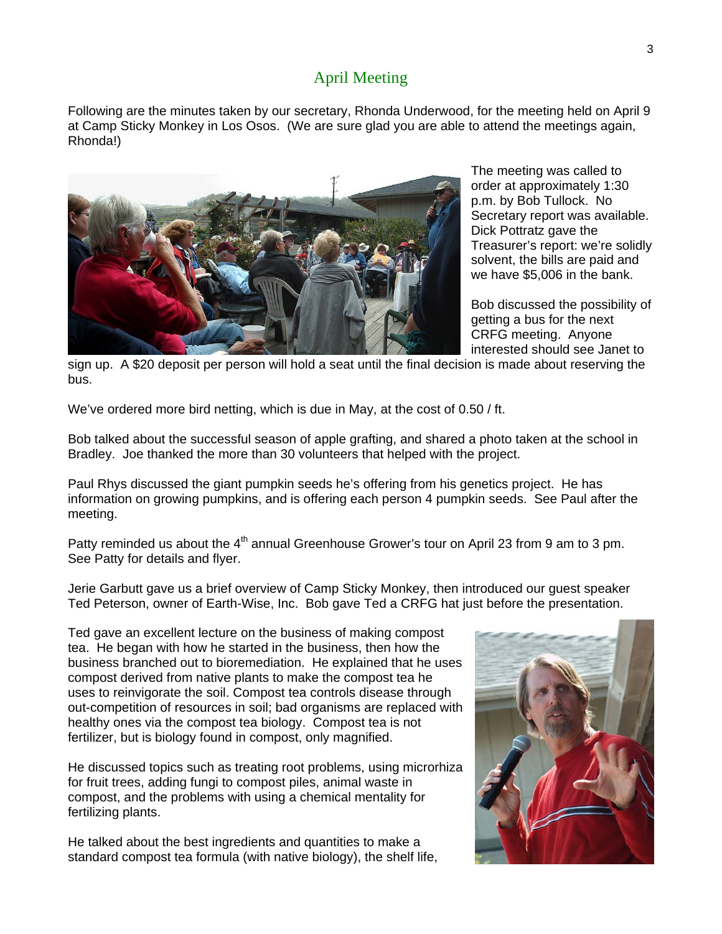# April Meeting

Following are the minutes taken by our secretary, Rhonda Underwood, for the meeting held on April 9 at Camp Sticky Monkey in Los Osos. (We are sure glad you are able to attend the meetings again, Rhonda!)



The meeting was called to order at approximately 1:30 p.m. by Bob Tullock. No Secretary report was available. Dick Pottratz gave the Treasurer's report: we're solidly solvent, the bills are paid and we have \$5,006 in the bank.

Bob discussed the possibility of getting a bus for the next CRFG meeting. Anyone interested should see Janet to

sign up. A \$20 deposit per person will hold a seat until the final decision is made about reserving the bus.

We've ordered more bird netting, which is due in May, at the cost of 0.50 / ft.

Bob talked about the successful season of apple grafting, and shared a photo taken at the school in Bradley. Joe thanked the more than 30 volunteers that helped with the project.

Paul Rhys discussed the giant pumpkin seeds he's offering from his genetics project. He has information on growing pumpkins, and is offering each person 4 pumpkin seeds. See Paul after the meeting.

Patty reminded us about the  $4<sup>th</sup>$  annual Greenhouse Grower's tour on April 23 from 9 am to 3 pm. See Patty for details and flyer.

Jerie Garbutt gave us a brief overview of Camp Sticky Monkey, then introduced our guest speaker Ted Peterson, owner of Earth-Wise, Inc. Bob gave Ted a CRFG hat just before the presentation.

Ted gave an excellent lecture on the business of making compost tea. He began with how he started in the business, then how the business branched out to bioremediation. He explained that he uses compost derived from native plants to make the compost tea he uses to reinvigorate the soil. Compost tea controls disease through out-competition of resources in soil; bad organisms are replaced with healthy ones via the compost tea biology. Compost tea is not fertilizer, but is biology found in compost, only magnified.

He discussed topics such as treating root problems, using microrhiza for fruit trees, adding fungi to compost piles, animal waste in compost, and the problems with using a chemical mentality for fertilizing plants.

He talked about the best ingredients and quantities to make a standard compost tea formula (with native biology), the shelf life,

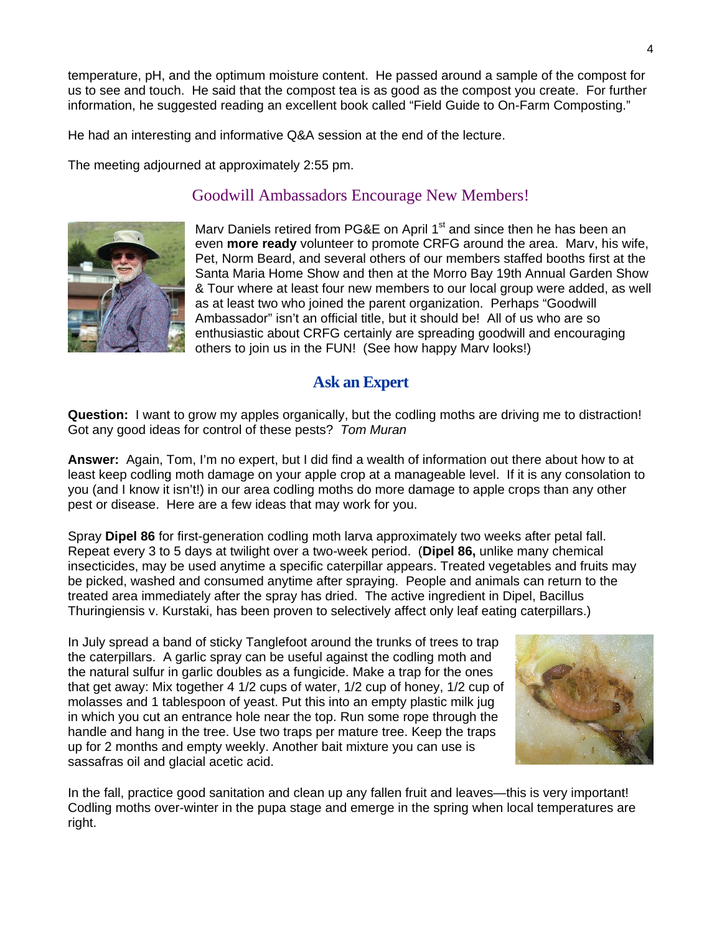temperature, pH, and the optimum moisture content. He passed around a sample of the compost for us to see and touch. He said that the compost tea is as good as the compost you create. For further information, he suggested reading an excellent book called "Field Guide to On-Farm Composting."

He had an interesting and informative Q&A session at the end of the lecture.

The meeting adjourned at approximately 2:55 pm.

## Goodwill Ambassadors Encourage New Members!



Marv Daniels retired from PG&E on April 1<sup>st</sup> and since then he has been an even **more ready** volunteer to promote CRFG around the area. Marv, his wife, Pet, Norm Beard, and several others of our members staffed booths first at the Santa Maria Home Show and then at the Morro Bay 19th Annual Garden Show & Tour where at least four new members to our local group were added, as well as at least two who joined the parent organization. Perhaps "Goodwill Ambassador" isn't an official title, but it should be! All of us who are so enthusiastic about CRFG certainly are spreading goodwill and encouraging others to join us in the FUN! (See how happy Marv looks!)

# **Ask an Expert**

**Question:** I want to grow my apples organically, but the codling moths are driving me to distraction! Got any good ideas for control of these pests? *Tom Muran* 

**Answer:** Again, Tom, I'm no expert, but I did find a wealth of information out there about how to at least keep codling moth damage on your apple crop at a manageable level. If it is any consolation to you (and I know it isn't!) in our area codling moths do more damage to apple crops than any other pest or disease. Here are a few ideas that may work for you.

Spray **Dipel 86** for first-generation codling moth larva approximately two weeks after petal fall. Repeat every 3 to 5 days at twilight over a two-week period. (**Dipel 86,** unlike many chemical insecticides, may be used anytime a specific caterpillar appears. Treated vegetables and fruits may be picked, washed and consumed anytime after spraying. People and animals can return to the treated area immediately after the spray has dried. The active ingredient in Dipel, Bacillus Thuringiensis v. Kurstaki, has been proven to selectively affect only leaf eating caterpillars.)

In July spread a band of sticky Tanglefoot around the trunks of trees to trap the caterpillars. A garlic spray can be useful against the codling moth and the natural sulfur in garlic doubles as a fungicide. Make a trap for the ones that get away: Mix together 4 1/2 cups of water, 1/2 cup of honey, 1/2 cup of molasses and 1 tablespoon of yeast. Put this into an empty plastic milk jug in which you cut an entrance hole near the top. Run some rope through the handle and hang in the tree. Use two traps per mature tree. Keep the traps up for 2 months and empty weekly. Another bait mixture you can use is sassafras oil and glacial acetic acid.



In the fall, practice good sanitation and clean up any fallen fruit and leaves—this is very important! Codling moths over-winter in the pupa stage and emerge in the spring when local temperatures are right.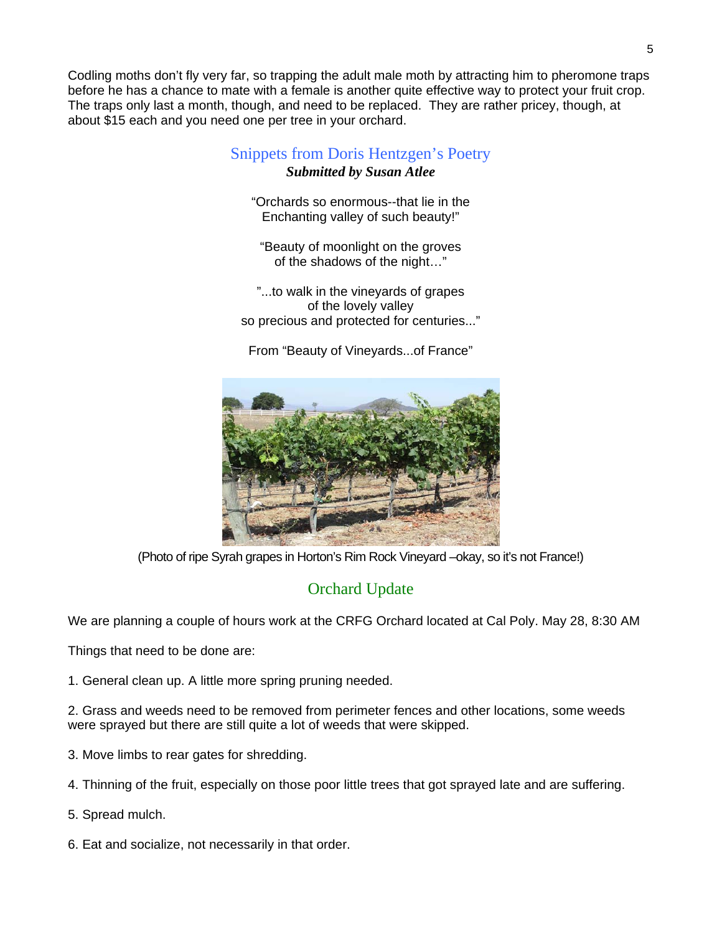Codling moths don't fly very far, so trapping the adult male moth by attracting him to pheromone traps before he has a chance to mate with a female is another quite effective way to protect your fruit crop. The traps only last a month, though, and need to be replaced. They are rather pricey, though, at about \$15 each and you need one per tree in your orchard.

# Snippets from Doris Hentzgen's Poetry *Submitted by Susan Atlee*

"Orchards so enormous--that lie in the Enchanting valley of such beauty!"

"Beauty of moonlight on the groves of the shadows of the night…"

"...to walk in the vineyards of grapes of the lovely valley so precious and protected for centuries..."

From "Beauty of Vineyards...of France"



(Photo of ripe Syrah grapes in Horton's Rim Rock Vineyard –okay, so it's not France!)

# Orchard Update

We are planning a couple of hours work at the CRFG Orchard located at Cal Poly. May 28, 8:30 AM

Things that need to be done are:

1. General clean up. A little more spring pruning needed.

2. Grass and weeds need to be removed from perimeter fences and other locations, some weeds were sprayed but there are still quite a lot of weeds that were skipped.

- 3. Move limbs to rear gates for shredding.
- 4. Thinning of the fruit, especially on those poor little trees that got sprayed late and are suffering.
- 5. Spread mulch.
- 6. Eat and socialize, not necessarily in that order.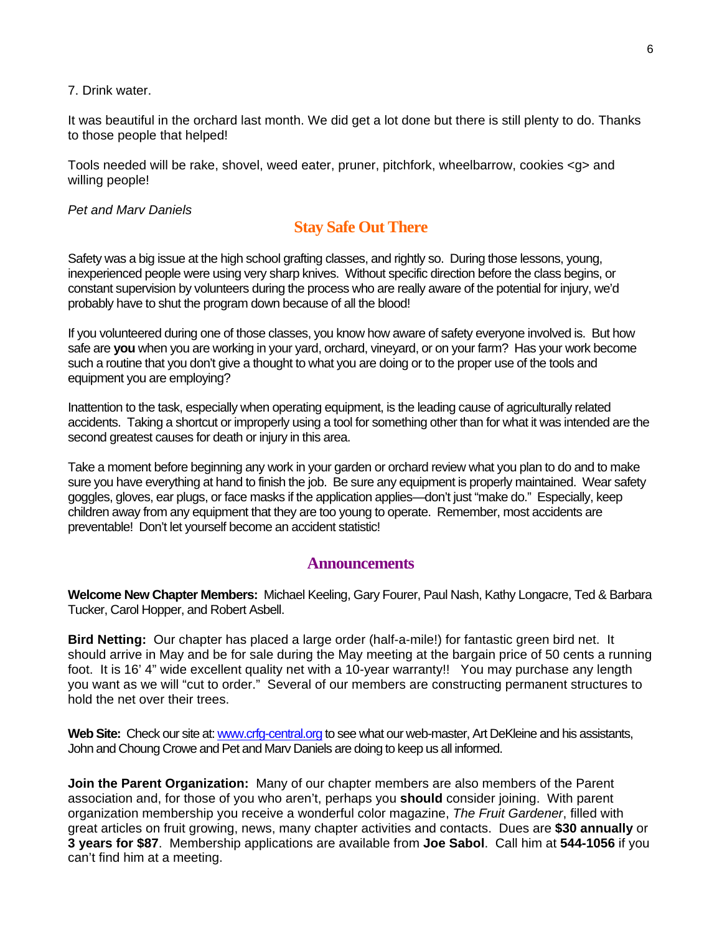#### 7. Drink water.

It was beautiful in the orchard last month. We did get a lot done but there is still plenty to do. Thanks to those people that helped!

Tools needed will be rake, shovel, weed eater, pruner, pitchfork, wheelbarrow, cookies <g> and willing people!

#### *Pet and Marv Daniels*

### **Stay Safe Out There**

Safety was a big issue at the high school grafting classes, and rightly so. During those lessons, young, inexperienced people were using very sharp knives. Without specific direction before the class begins, or constant supervision by volunteers during the process who are really aware of the potential for injury, we'd probably have to shut the program down because of all the blood!

If you volunteered during one of those classes, you know how aware of safety everyone involved is. But how safe are **you** when you are working in your yard, orchard, vineyard, or on your farm? Has your work become such a routine that you don't give a thought to what you are doing or to the proper use of the tools and equipment you are employing?

Inattention to the task, especially when operating equipment, is the leading cause of agriculturally related accidents. Taking a shortcut or improperly using a tool for something other than for what it was intended are the second greatest causes for death or injury in this area.

Take a moment before beginning any work in your garden or orchard review what you plan to do and to make sure you have everything at hand to finish the job. Be sure any equipment is properly maintained. Wear safety goggles, gloves, ear plugs, or face masks if the application applies—don't just "make do." Especially, keep children away from any equipment that they are too young to operate. Remember, most accidents are preventable! Don't let yourself become an accident statistic!

#### **Announcements**

**Welcome New Chapter Members:** Michael Keeling, Gary Fourer, Paul Nash, Kathy Longacre, Ted & Barbara Tucker, Carol Hopper, and Robert Asbell.

**Bird Netting:** Our chapter has placed a large order (half-a-mile!) for fantastic green bird net. It should arrive in May and be for sale during the May meeting at the bargain price of 50 cents a running foot. It is 16' 4" wide excellent quality net with a 10-year warranty!! You may purchase any length you want as we will "cut to order." Several of our members are constructing permanent structures to hold the net over their trees.

Web Site: Check our site at: [www.crfg-central.org](http://www.crfg-central.org/) to see what our web-master, Art DeKleine and his assistants, John and Choung Crowe and Pet and Marv Daniels are doing to keep us all informed.

**Join the Parent Organization:** Many of our chapter members are also members of the Parent association and, for those of you who aren't, perhaps you **should** consider joining. With parent organization membership you receive a wonderful color magazine, *The Fruit Gardener*, filled with great articles on fruit growing, news, many chapter activities and contacts. Dues are **\$30 annually** or **3 years for \$87**. Membership applications are available from **Joe Sabol**. Call him at **544-1056** if you can't find him at a meeting.